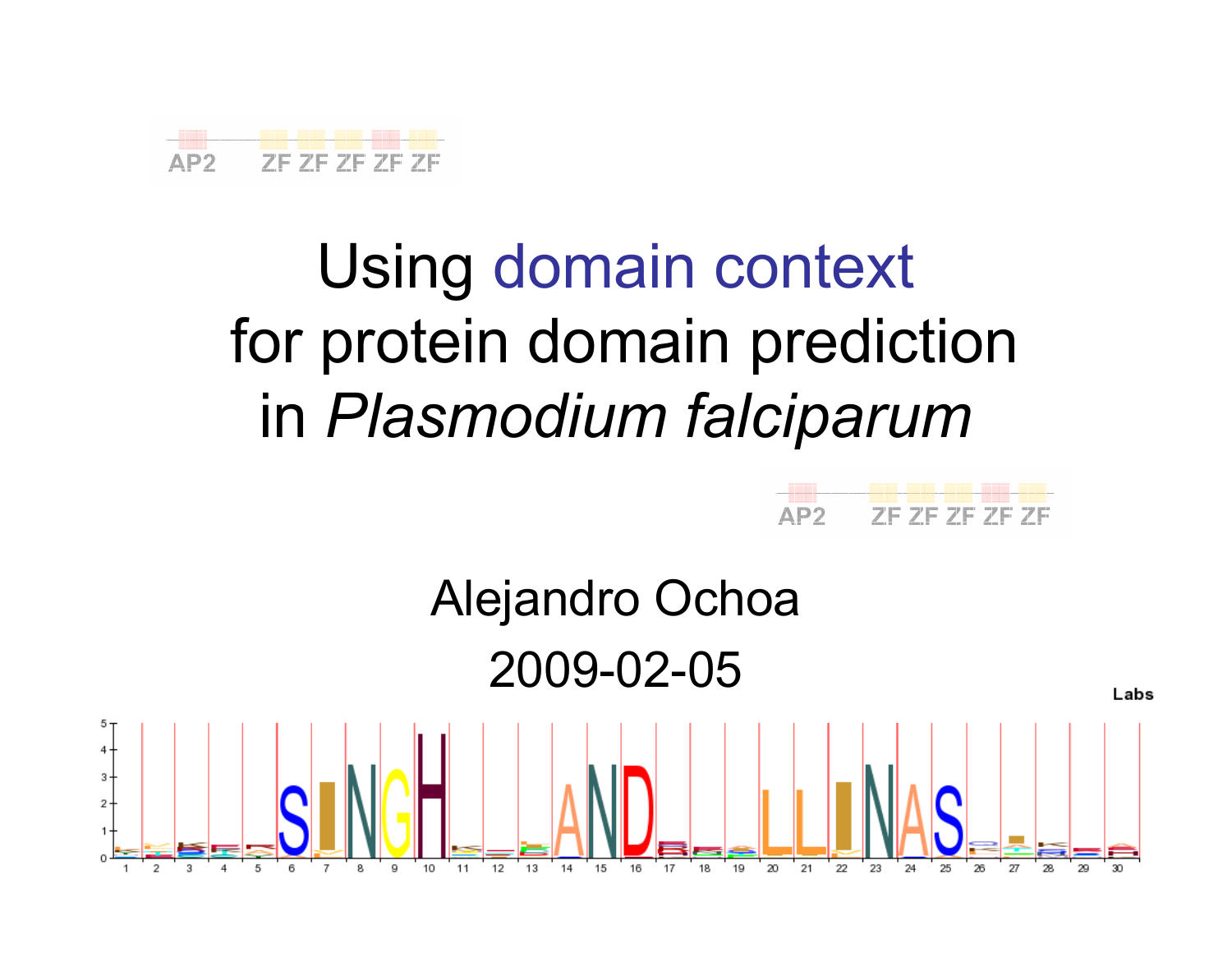

# Using domain contextfor protein domain prediction in Plasmodium falciparum



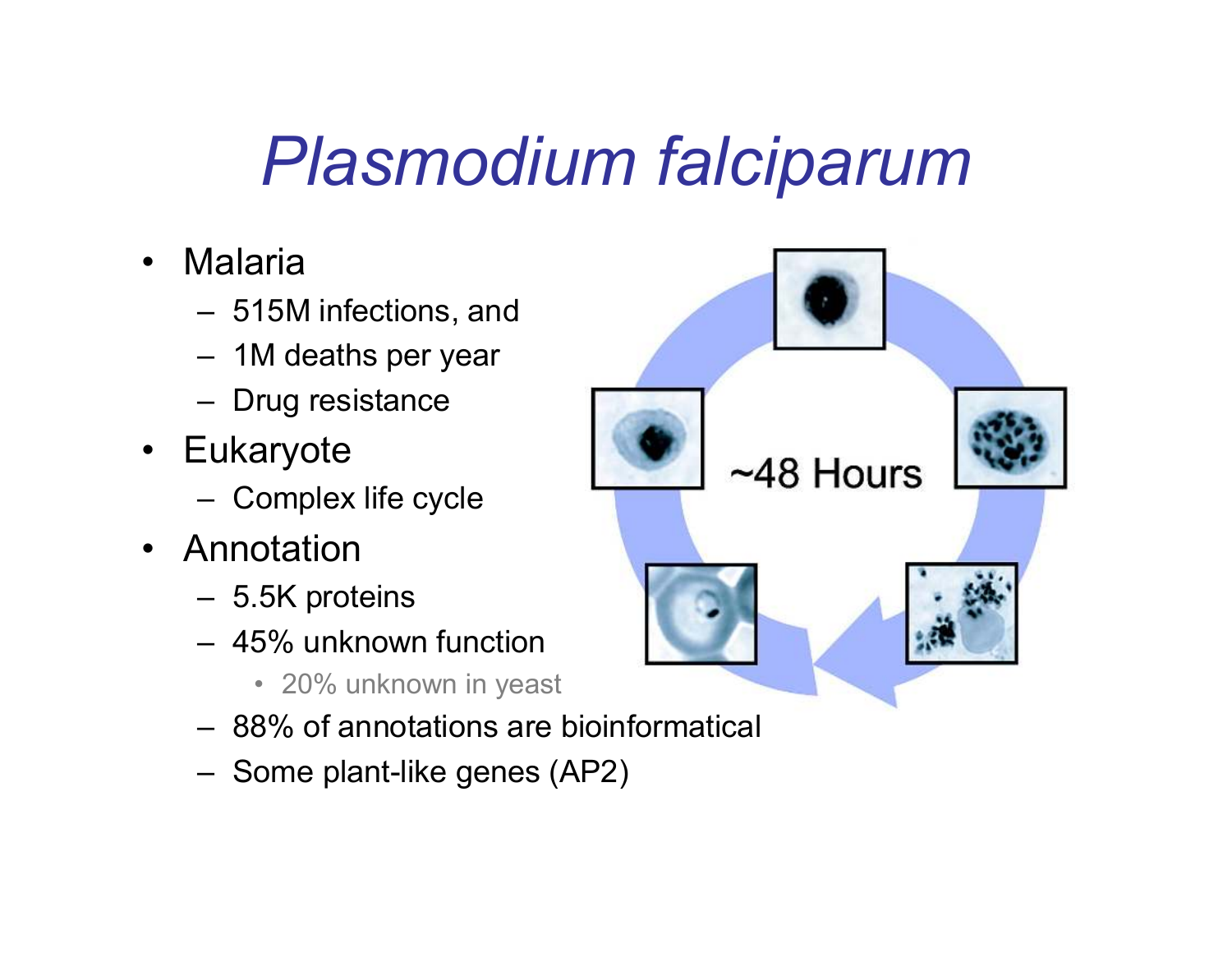### Plasmodium falciparum

- $\bullet$  Malaria
	- 515M infections, and
	- 1M deaths per year
	- Drug resistance
- Eukaryote
	- Complex life cycle
- Annotation<br>- - -
	- 5.5K proteins
	- 45% unknown function
		- 20% unknown in yeast
	- 88% of annotations are bioinformatical
	- Some plant-like genes (AP2)

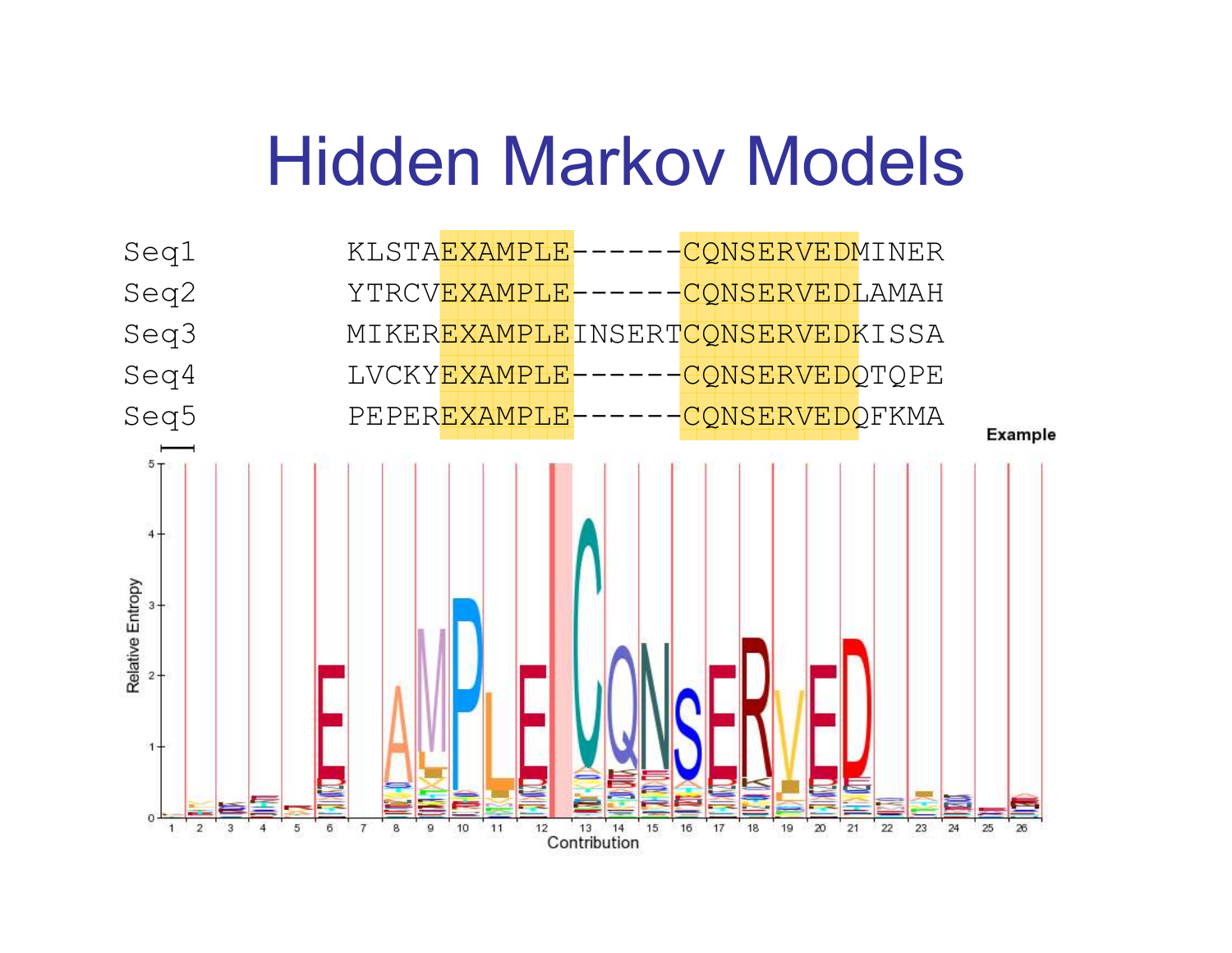### Hidden Markov Models

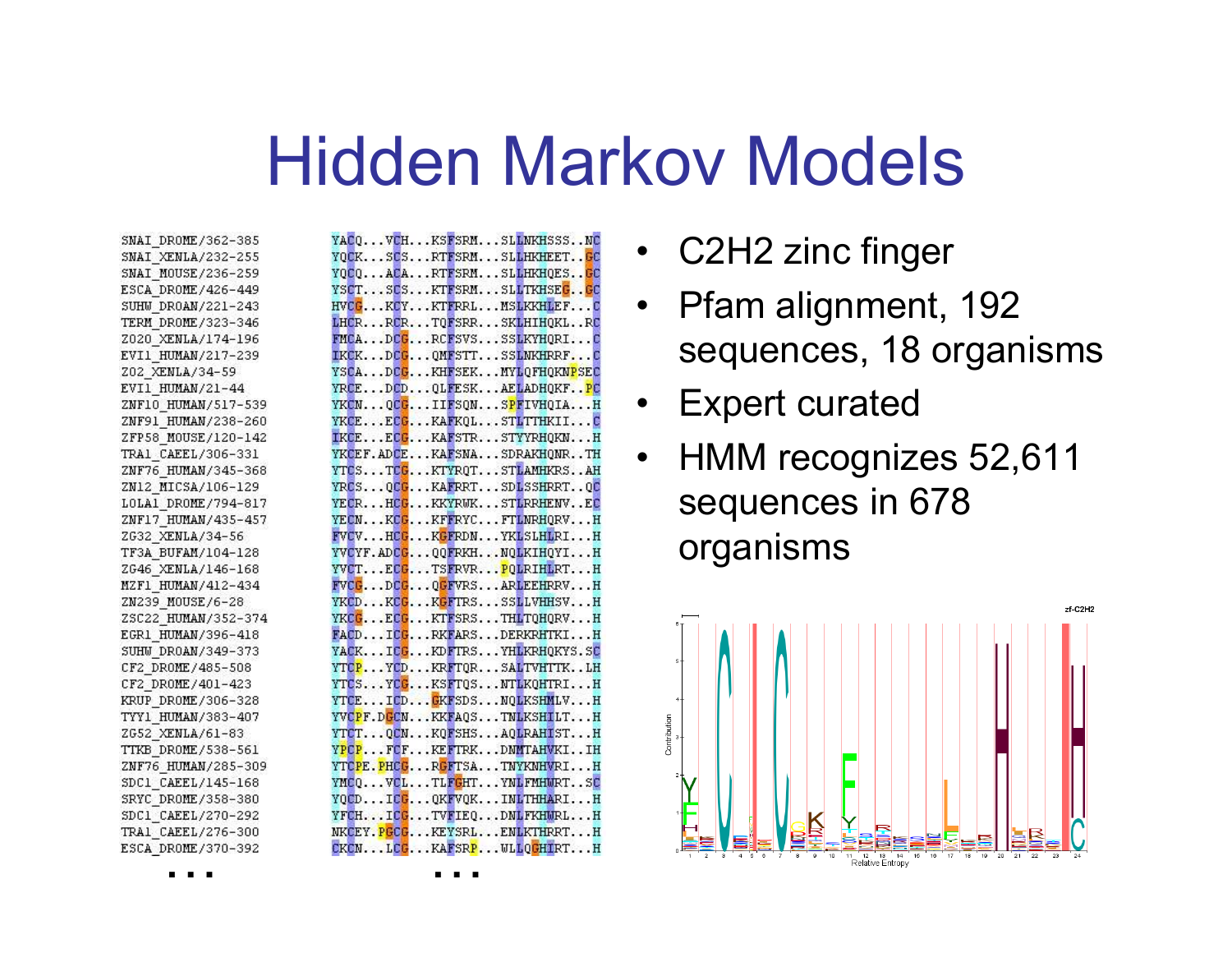#### Hidden Markov Models

SNAI DROME/362-385 SNAI XENLA/232-255 SNAI MOUSE/236-259 ESCA DROME/426-449 SUHW DROAN/221-243 TERM DROME/323-346 Z020 XENLA/174-196 EVI1 HUMAN/217-239 Z02 XENLA/34-59 EVI1 HUMAN/21-44 ZNF10 HUMAN/517-539 ZNF91 HUMAN/238-260 ZFP58 MOUSE/120-142 TRA1 CAEEL/306-331 ZNF76 HUMAN/345-368 ZN12 MICSA/106-129 LOLA1 DROME/794-817 ZNF17 HUMAN/435-457 ZG32 XENLA/34-56 TF3A BUFAM/104-128 ZG46 XENLA/146-168 MZF1 HUMAN/412-434 ZN239 MOUSE/6-28 ZSC22 HUMAN/352-374 EGR1 HUMAN/396-418 SUHW DROAN/349-373 CF2 DROME/485-508 CF2 DROME/401-423 KRUP DROME/306-328 TYY1 HUMAN/383-407 ZG52\_XENLA/61-83 TTKB\_DROME/538-561 ZNF76 HUMAN/285-309 SDC1 CAEEL/145-168 SRYC DROME/358-380 SDC1 CAEEL/270-292 TRA1\_CAEEL/276-300 ESCA DROME/370-392

| YACOVCHKSFSRMSLLNKHSSSNC                              |
|-------------------------------------------------------|
| YOCKSCSRTFSRMSLLHKHEETGC                              |
| YQCQACARTFSRMSLLHKHQESGC                              |
| YSCTSCSKTFSRMSLLTKHSEGGC                              |
| HVCGKCYKTFRRLMSLKKHLEFC                               |
| LHCRRCRTOFSRRSKLHIHOKLRC                              |
| FMCADCGRCFSVSSSLKYHORIC                               |
| IKCKDCGQMFSTTSSLNKHRRFC                               |
| YSCADCGKHFSEKMYLQFHQKNPSEC                            |
| YRCEDCDOLFESKAELADHOKFPC                              |
| YKCNOCCIIFSONSPFIVHOIAH                               |
| YKCEECGKAFKOLSTLTTHKIIC                               |
| IKCEECGKAFSTRSTYYRHOKNH                               |
| YKCEF.ADCEKAFSNASDRAKHQNRTH                           |
| YTCSTCCKTYROTSTLAMHKRSAH                              |
| YRCSOCCKAFRRTSDLSSHRRTOC                              |
| YECRHCGKKYRWKSTLRRHENVEC                              |
| YECNKCGKFFRYCFTLNRHQRVH                               |
| FVCVHCGKGFRDNYKLSLHLRIH                               |
| YVCYF.ADCGQQFRKHNQLKIHQYIH                            |
| YVCTECGTSFRVRPOLRIHLRTH                               |
| FVCGDCGOGFVRSARLEEHRRVH                               |
| YKCDKCGKGFTRSSSLLVHHSVH                               |
| YKCGECGKTFSRSTHLTOHORVH                               |
| FACDICGRKFARSDERKRHTKIH                               |
| YACKICGKDFTRSYHLKRHOKYS.SC                            |
| YTCPYCDKRFTORSALTVHTTKLH                              |
| YTCSYCGKSFT0SNTLKOHTRIH                               |
| YTCEICDGKFSDSNQLKSHMLVH                               |
| YVCPF.DGCNKKFA0STNLKSHILTH<br>YTCTOCNKOFSHSAOLRAHISTH |
| YPOPFCFKEFTRKDNMTAHVKIIH                              |
| YTCPE.PHCGRGFTSATNYKNHVRIH                            |
| YMCQVCLTLFGHTYNLFMHMRTSC                              |
| YOCDICGOKFVOKINLTHHARIH                               |
| YFCHICGTVFIEODNLFKHMRLH                               |
| NKCEY.PGCGKEYSRLENLKTHRRTH                            |
| CKCNLCCKAFSRPWLLOCHIRTH                               |
|                                                       |

- •C2H2 zinc finger
- • Pfam alignment, 192 sequences, 18 organisms
- $\bullet$ Expert curated
- $\bullet$  HMM recognizes 52,611 sequences in 678 organisms



… …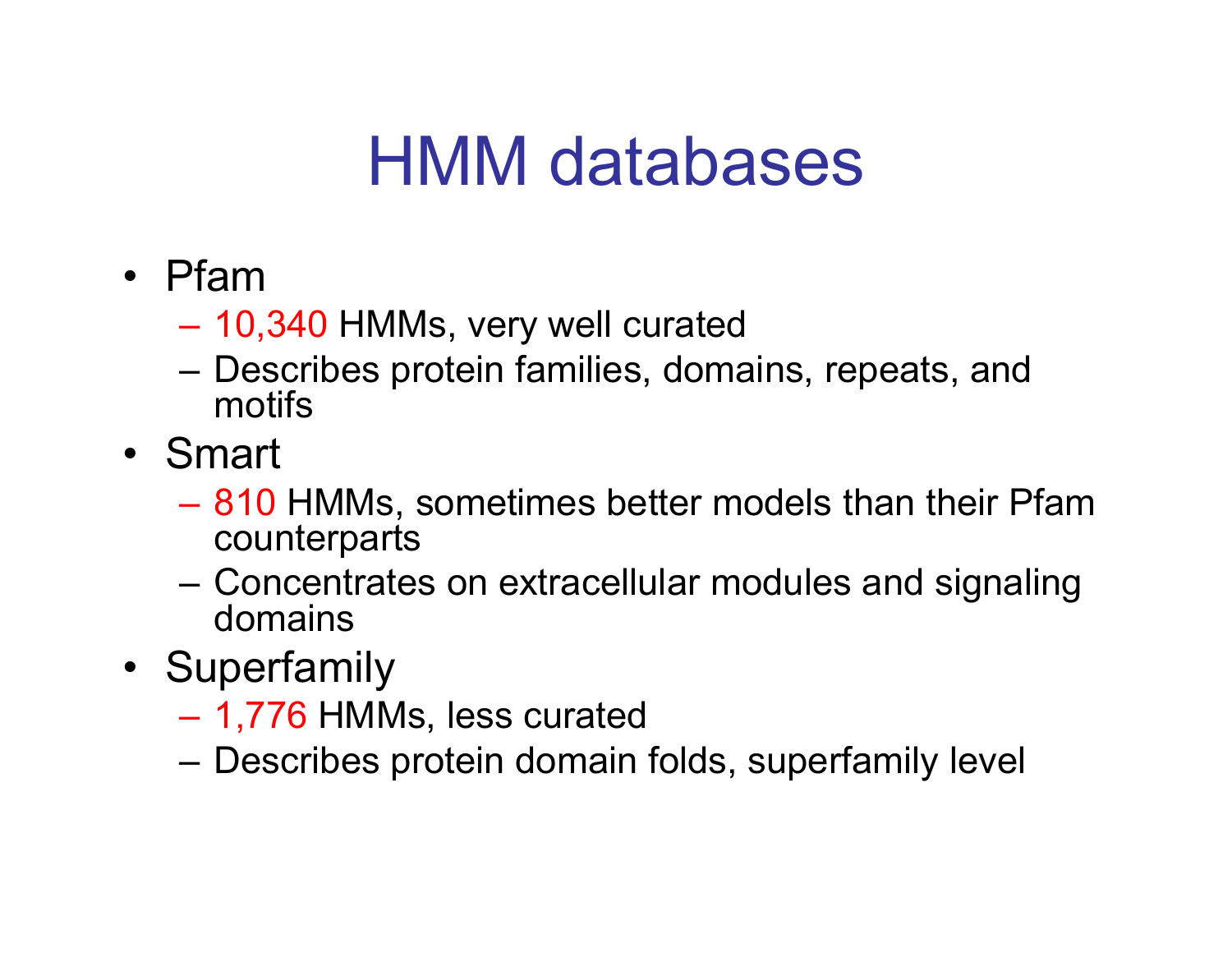# HMM databases

- Pfam
	- –10,340 HMMs, very well curated
	- Describes protein families, domains, repeats, and motifs
- Smart<br>910
	- 810 HMMs, sometimes better models than their Pfam<br>counternarts counterparts
	- Concentrates on extracellular modules and signaling domains
- Superfamily<br>1776 HAA
	- 1,776 HMMs, less curated
	- Describes protein domain folds, superfamily level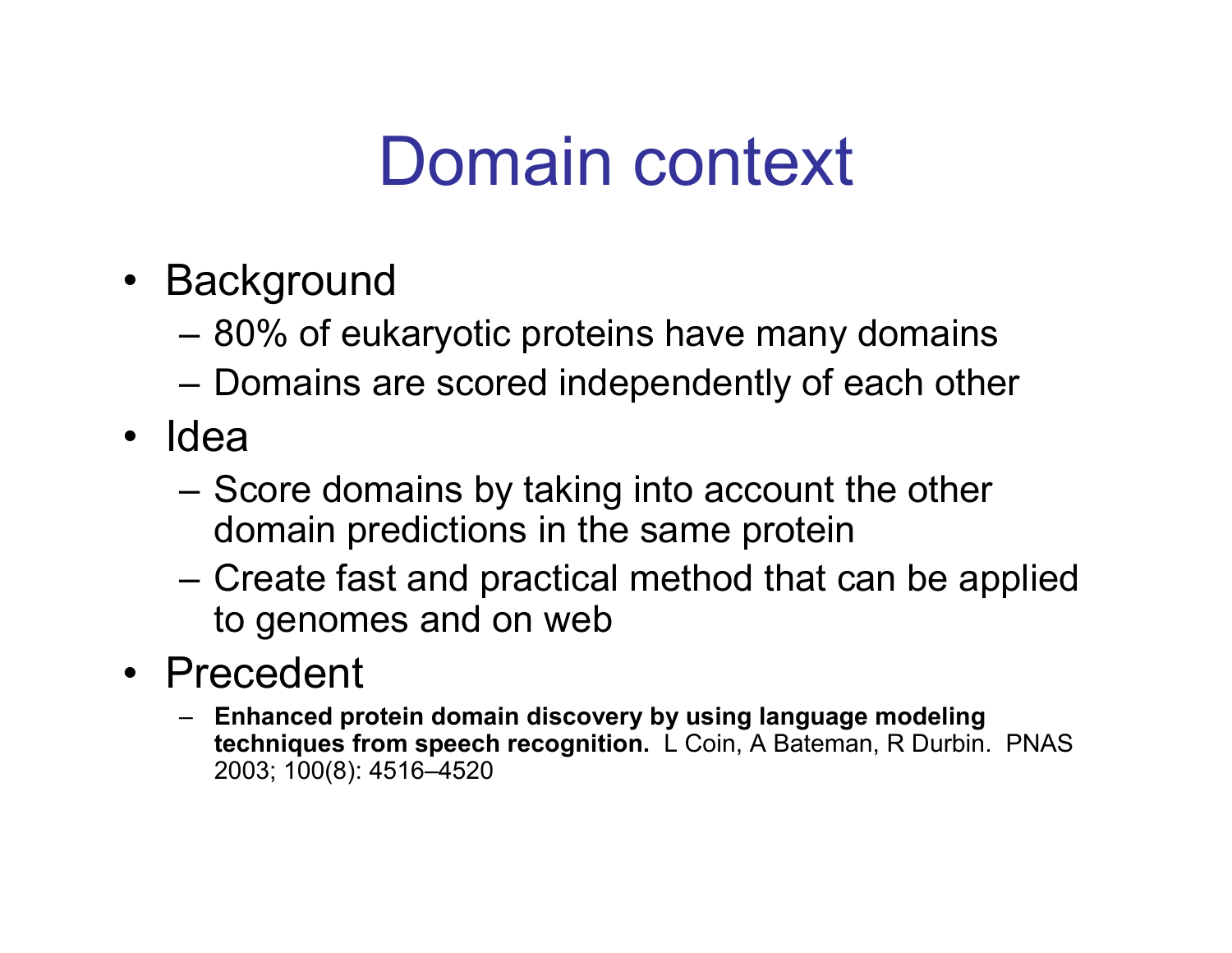# Domain context

- Background<br>استفاد ۹۹%
	- 80% of eukaryotic proteins have many domains
	- –Domains are scored independently of each other
- Idea
	- Score domains by taking into account the other<br>domain prodictions in the same protoin domain predictions in the same protein
	- –Create fast and practical method that can be applied<br>to gappenes and on wob to genomes and on web
- Precedent<br>F<sup>rhanced.pr</sup>
	- Enhanced protein domain discovery by using language modeling techniques from speech recognition. L Coin, A Bateman, R Durbin. PNAS 2003; 100(8): 4516–4520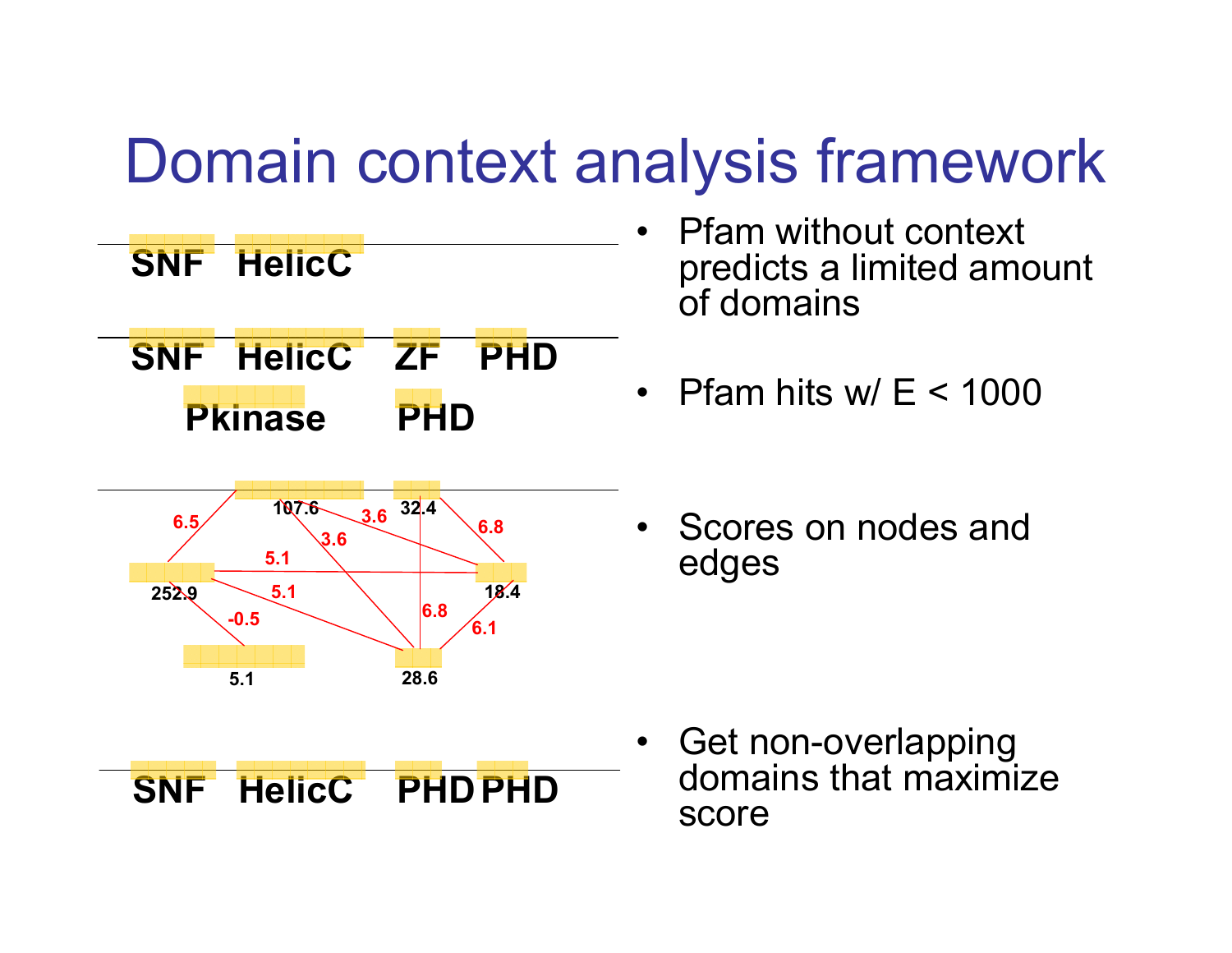#### Domain context analysis framework



- • Pfam without context predicts a limited amount of domains
- $\bullet$ Pfam hits w/ E < 1000
- • Scores on nodes and edges

• Get non-overlapping domains that maximize score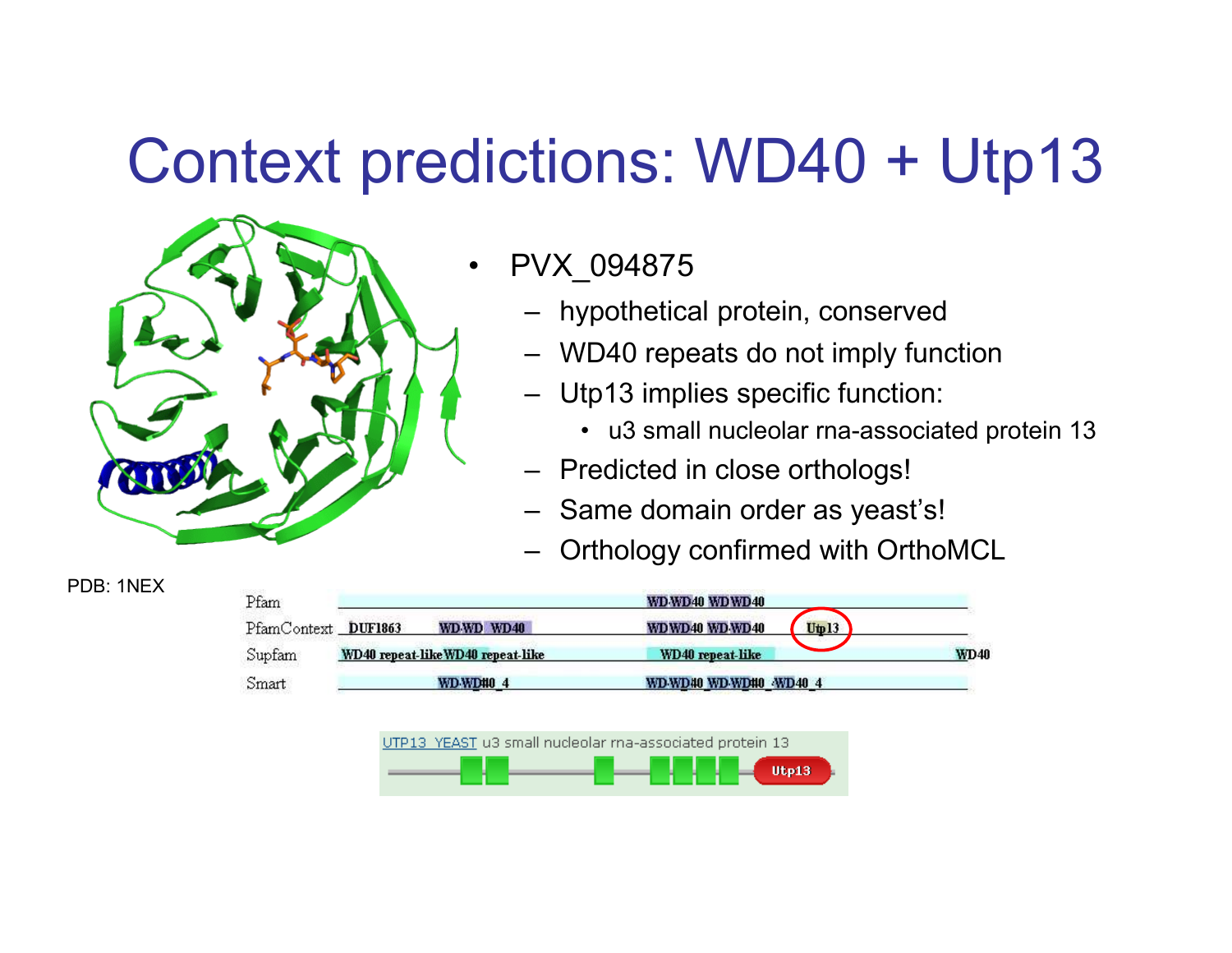#### Context predictions: WD40 + Utp13



PDB: 1NEX

- • PVX\_094875
	- –hypothetical protein, conserved
	- –WD40 repeats do not imply function
	- – Utp13 implies specific function:
		- u3 small nucleolar rna-associated protein 13
	- –Predicted in close orthologs!
	- –Same domain order as yeast's!
	- –Orthology confirmed with OrthoMCL



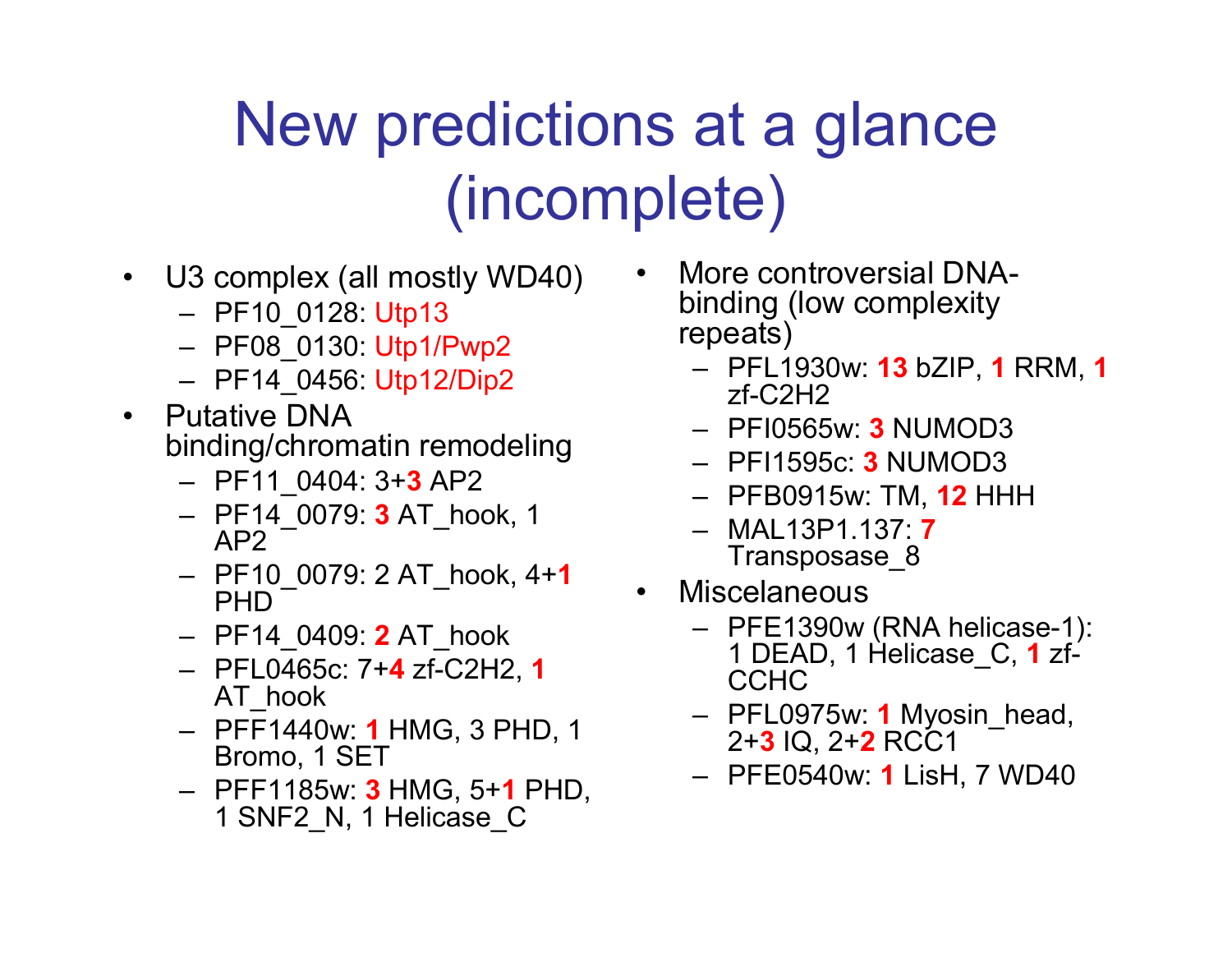# New predictions at a glance(incomplete)

- $\bullet$  U3 complex (all mostly WD40)
	- PF10\_0128: Utp13
	- PF08\_0130: Utp1/Pwp2
	- PF14\_0456: Utp12/Dip2
- • Putative DNA binding/chromatin remodeling
	- PF11\_0404: 3+**3** AP2<br>PE44, 8939: **3**.AT. bs
	- PF14\_0079: **3** AT\_hook, 1<br>— АР2 AP2
	- PF10\_0079: 2 AT\_hook, 4+**1**<br>РНГ PHD
	- PF14\_0409: 2 AT\_hook
	- PFL0465c: 7+**4** zf-C2H2, **1**<br> AT hook AT\_hook
	- PFF1440w: **1** HMG, 3 PHD, 1<br>Rromo\_1 SFT Bromo, 1 SET
	- PFF1185w: <mark>3</mark> HMG, 5+**1** PHD,<br>1 SNE2 N. 1 Helicase C 1 SNF2\_N, 1 Helicase\_C
- • More controversial DNAbinding (low complexity repeats)
	- PFL1930w: **13** bZIP, **1** RRM, **1**<br>7f-C2H2 zf-C2H2
	- PFI0565w: 3 NUMOD3<br>PEI45050: 3 NUMOD3
	- PFI1595c: <mark>3</mark> NUMOD3<br>PERSS45::: TN 4**3** LIL
	- PFB0915w: TM, **12** HHH<br>– MAL43D4 437: **7**
	- MAL13P1.137: 7Transposase\_8
- Miscelaneous •<br>EF54300w
	- PFE1390w (RNA helicase-1): 1 DEAD, 1 Helicase\_C, **1** zf-<br>CCHC **CCHC**
	- PFL0975w: **1** Myosin\_head,<br>2+3 IO 2+**2** RCC1 2+**3** IQ, 2+**2** RCC1<br>========
	- PFE0540w: 1 LisH, 7 WD40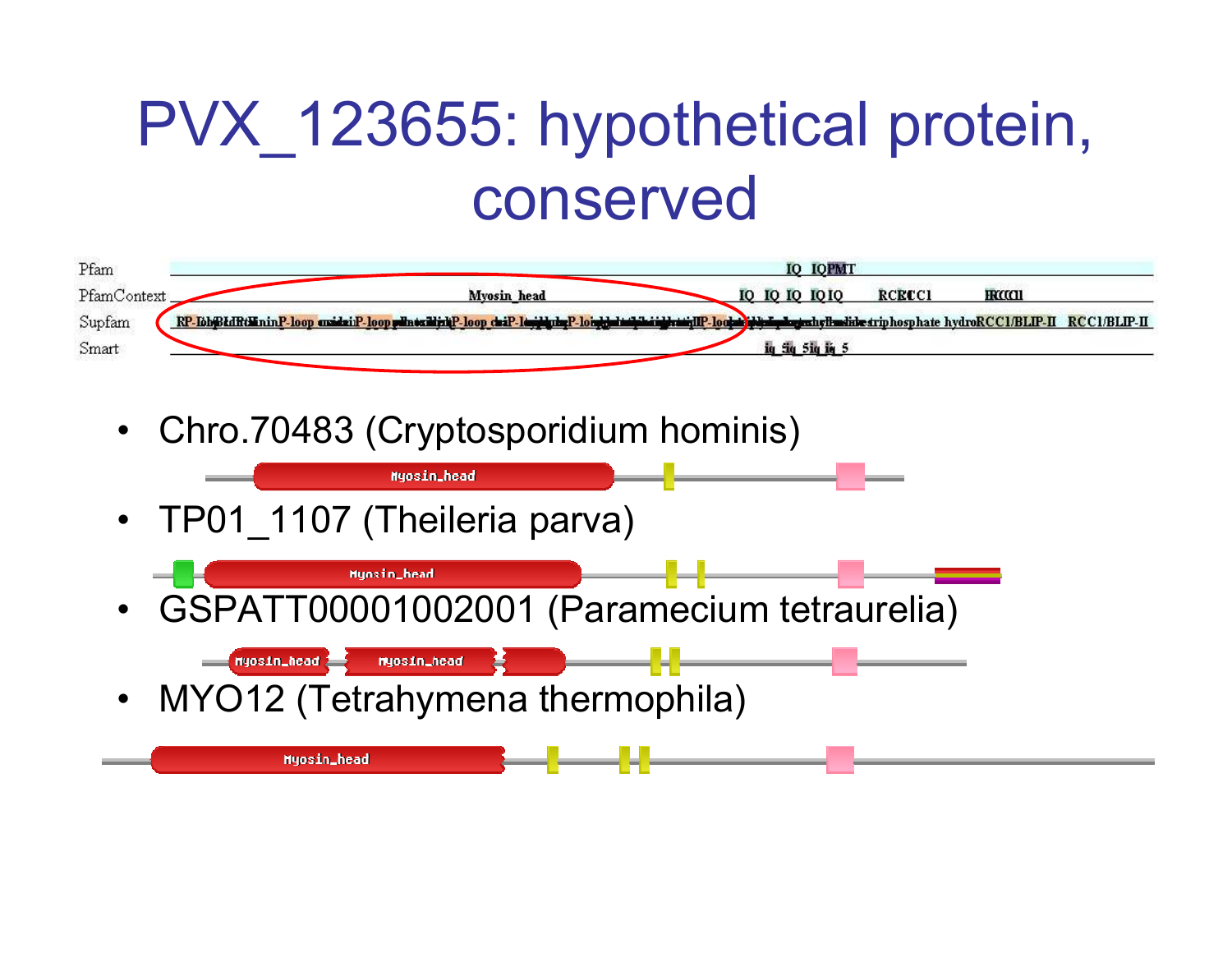### PVX 123655: hypothetical protein, conserved



 $\bullet$ Chro.70483 (Cryptosporidium hominis)

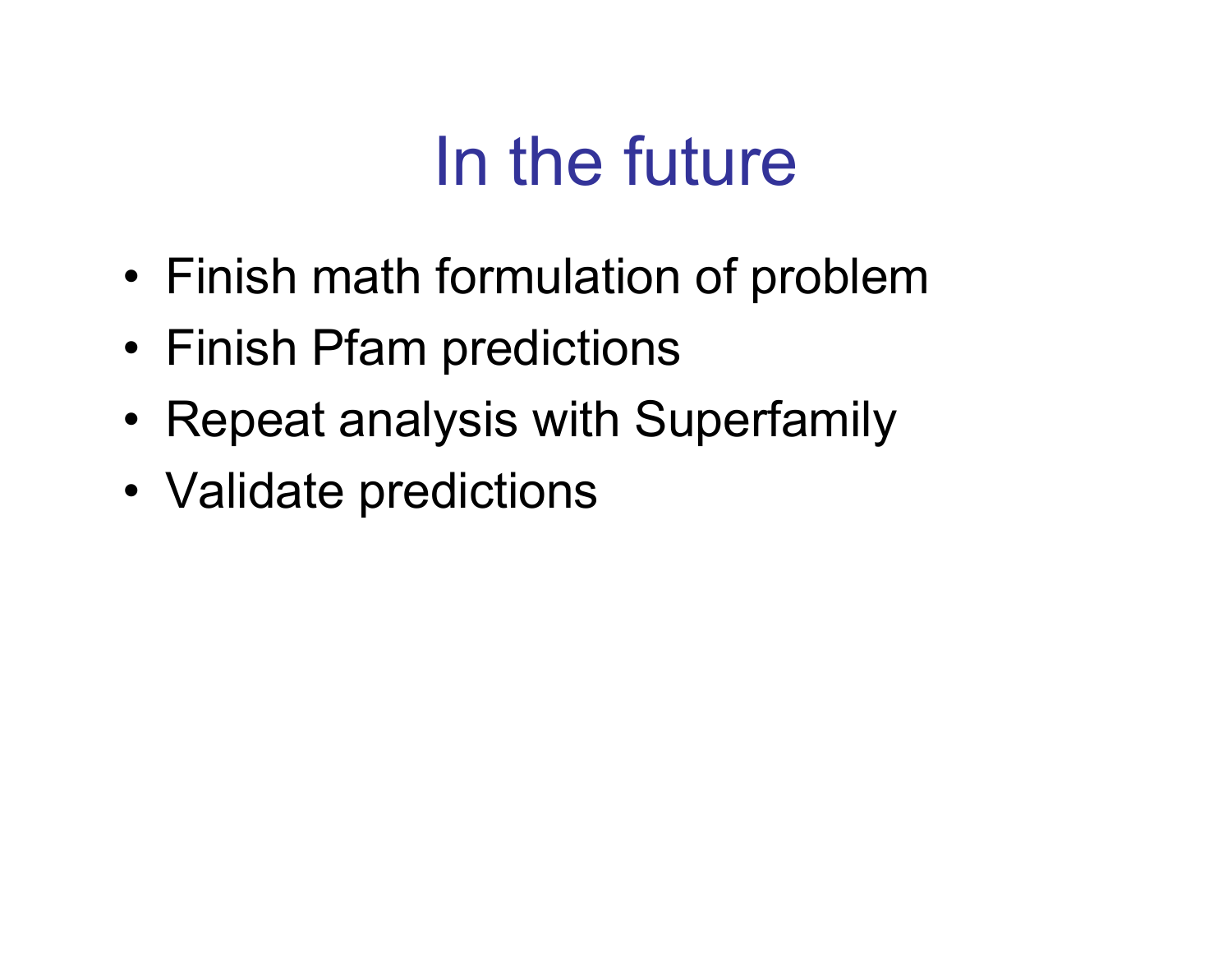# In the future

- •Finish math formulation of problem
- •Finish Pfam predictions
- •Repeat analysis with Superfamily
- Validate predictions